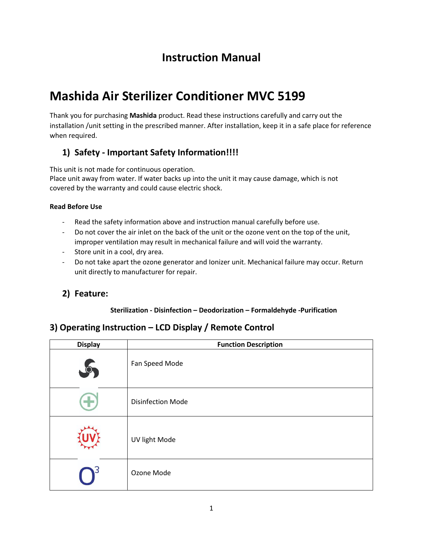# **Instruction Manual**

# **Mashida Air Sterilizer Conditioner MVC 5199**

Thank you for purchasing **Mashida** product. Read these instructions carefully and carry out the installation /unit setting in the prescribed manner. After installation, keep it in a safe place for reference when required.

# **1) Safety - Important Safety Information!!!!**

This unit is not made for continuous operation.

Place unit away from water. If water backs up into the unit it may cause damage, which is not covered by the warranty and could cause electric shock.

#### **Read Before Use**

- Read the safety information above and instruction manual carefully before use.
- Do not cover the air inlet on the back of the unit or the ozone vent on the top of the unit, improper ventilation may result in mechanical failure and will void the warranty.
- Store unit in a cool, dry area.
- Do not take apart the ozone generator and Ionizer unit. Mechanical failure may occur. Return unit directly to manufacturer for repair.

## **2) Feature:**

#### **Sterilization - Disinfection – Deodorization – Formaldehyde -Purification**

## **3) Operating Instruction – LCD Display / Remote Control**

| <b>Display</b> | <b>Function Description</b> |  |  |
|----------------|-----------------------------|--|--|
|                | Fan Speed Mode              |  |  |
|                | <b>Disinfection Mode</b>    |  |  |
|                | UV light Mode               |  |  |
|                | Ozone Mode                  |  |  |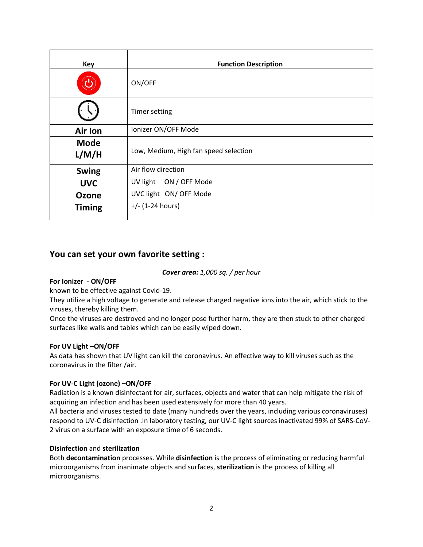| <b>Key</b>           | <b>Function Description</b>           |  |  |
|----------------------|---------------------------------------|--|--|
|                      | ON/OFF                                |  |  |
|                      | <b>Timer setting</b>                  |  |  |
| <b>Air lon</b>       | Ionizer ON/OFF Mode                   |  |  |
| <b>Mode</b><br>L/M/H | Low, Medium, High fan speed selection |  |  |
| <b>Swing</b>         | Air flow direction                    |  |  |
| <b>UVC</b>           | UV light ON / OFF Mode                |  |  |
| <b>Ozone</b>         | UVC light ON/ OFF Mode                |  |  |
| <b>Timing</b>        | $+/- (1-24 hours)$                    |  |  |

### **You can set your own favorite setting :**

#### *Cover area: 1,000 sq. / per hour*

#### **For Ionizer - ON/OFF**

known to be effective against Covid-19.

They utilize a high voltage to generate and release charged negative ions into the air, which stick to the viruses, thereby killing them.

Once the viruses are destroyed and no longer pose further harm, they are then stuck to other charged surfaces like walls and tables which can be easily wiped down.

#### **For UV Light –ON/OFF**

As data has shown that UV light can kill the coronavirus. An effective way to kill viruses such as the coronavirus in the filter /air.

#### **For UV-C Light (ozone) –ON/OFF**

Radiation is a known disinfectant for air, surfaces, objects and water that can help mitigate the risk of acquiring an infection and has been used extensively for more than 40 years.

All bacteria and viruses tested to date (many hundreds over the years, including various coronaviruses) respond to UV-C disinfection .In laboratory testing, our UV-C light sources inactivated 99% of SARS-CoV-2 virus on a surface with an exposure time of 6 seconds.

#### **Disinfection** and **sterilization**

Both **decontamination** processes. While **disinfection** is the process of eliminating or reducing harmful microorganisms from inanimate objects and surfaces, **sterilization** is the process of killing all microorganisms.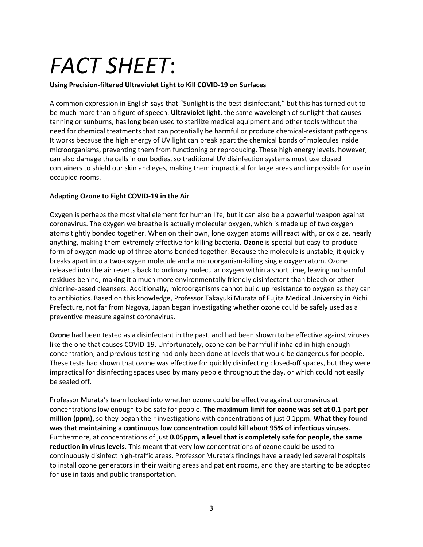# *FACT SHEET*:

#### **Using Precision-filtered Ultraviolet Light to Kill COVID-19 on Surfaces**

A common expression in English says that "Sunlight is the best disinfectant," but this has turned out to be much more than a figure of speech. **Ultraviolet light**, the same wavelength of sunlight that causes tanning or sunburns, has long been used to sterilize medical equipment and other tools without the need for chemical treatments that can potentially be harmful or produce chemical-resistant pathogens. It works because the high energy of UV light can break apart the chemical bonds of molecules inside microorganisms, preventing them from functioning or reproducing. These high energy levels, however, can also damage the cells in our bodies, so traditional UV disinfection systems must use closed containers to shield our skin and eyes, making them impractical for large areas and impossible for use in occupied rooms.

#### **Adapting Ozone to Fight COVID-19 in the Air**

Oxygen is perhaps the most vital element for human life, but it can also be a powerful weapon against coronavirus. The oxygen we breathe is actually molecular oxygen, which is made up of two oxygen atoms tightly bonded together. When on their own, lone oxygen atoms will react with, or oxidize, nearly anything, making them extremely effective for killing bacteria. **Ozone** is special but easy-to-produce form of oxygen made up of three atoms bonded together. Because the molecule is unstable, it quickly breaks apart into a two-oxygen molecule and a microorganism-killing single oxygen atom. Ozone released into the air reverts back to ordinary molecular oxygen within a short time, leaving no harmful residues behind, making it a much more environmentally friendly disinfectant than bleach or other chlorine-based cleansers. Additionally, microorganisms cannot build up resistance to oxygen as they can to antibiotics. Based on this knowledge, Professor Takayuki Murata of Fujita Medical University in Aichi Prefecture, not far from Nagoya, Japan began investigating whether ozone could be safely used as a preventive measure against coronavirus.

**Ozone** had been tested as a disinfectant in the past, and had been shown to be effective against viruses like the one that causes COVID-19. Unfortunately, ozone can be harmful if inhaled in high enough concentration, and previous testing had only been done at levels that would be dangerous for people. These tests had shown that ozone was effective for quickly disinfecting closed-off spaces, but they were impractical for disinfecting spaces used by many people throughout the day, or which could not easily be sealed off.

Professor Murata's team looked into whether ozone could be effective against coronavirus at concentrations low enough to be safe for people. **The maximum limit for ozone was set at 0.1 part per million (ppm),** so they began their investigations with concentrations of just 0.1ppm. **What they found was that maintaining a continuous low concentration could kill about 95% of infectious viruses.** Furthermore, at concentrations of just **0.05ppm, a level that is completely safe for people, the same reduction in virus levels.** This meant that very low concentrations of ozone could be used to continuously disinfect high-traffic areas. Professor Murata's findings have already led several hospitals to install ozone generators in their waiting areas and patient rooms, and they are starting to be adopted for use in taxis and public transportation.